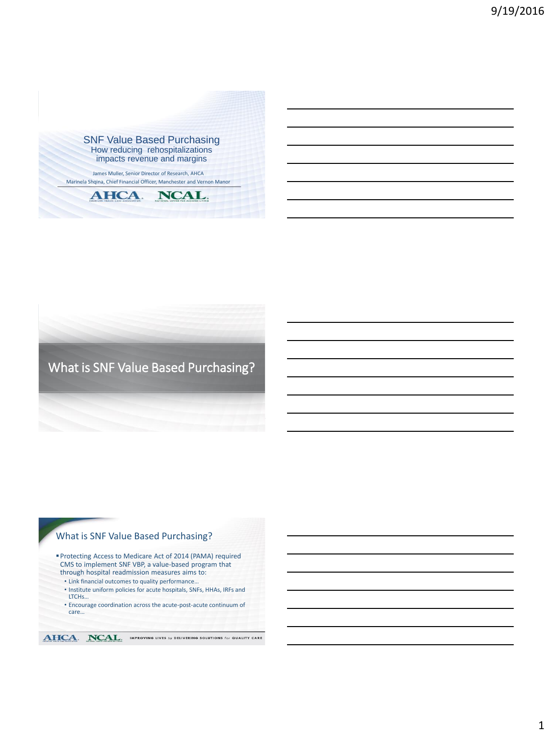

# What is SNF Value Based Purchasing?

# What is SNF Value Based Purchasing?

Protecting Access to Medicare Act of 2014 (PAMA) required CMS to implement SNF VBP, a value-based program that through hospital readmission measures aims to:

- Link financial outcomes to quality performance…
- Institute uniform policies for acute hospitals, SNFs, HHAs, IRFs and LTCH<sub>s</sub>...
- Encourage coordination across the acute-post-acute continuum of care…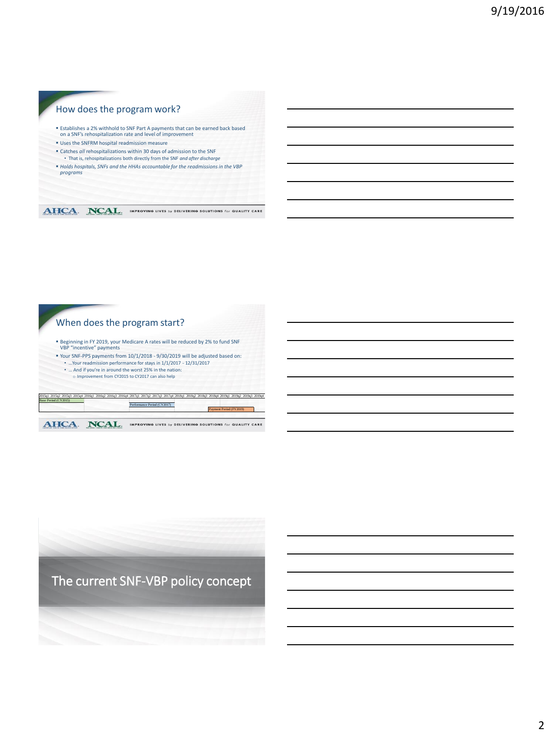### How does the program work?

- Establishes a 2% withhold to SNF Part A payments that can be earned back based on a SNF's rehospitalization rate and level of improvement
- Uses the SNFRM hospital readmission measure
- Catches *all* rehospitalizations within 30 days of admission to the SNF
- That is, rehospitalizations both directly from the SNF *and after discharge*
- *Holds hospitals, SNFs and the HHAs accountable for the readmissions in the VBP programs*

AHCA. NCAL. IMPROVING LIVES by DELIVERING SOLUTIONS for QUALITY CARE

When does the program start?

- Beginning in FY 2019, your Medicare A rates will be reduced by 2% to fund SNF VBP "incentive" payments
- Your SNF-PPS payments from 10/1/2018 9/30/2019 will be adjusted based on:
- …Your readmission performance for stays in 1/1/2017 12/31/2017 • … And if you're in around the worst 25% in the nation:
	- o Improvement from CY2015 to CY2017 can also help

| <b><i>NHCA</i></b>                                                                                                                                                  |  |  | IMPROVING LIVES by DELIVERING SOLUTIONS for QUALITY CARE |                             |  |  |  |  |  |                         |  |  |  |
|---------------------------------------------------------------------------------------------------------------------------------------------------------------------|--|--|----------------------------------------------------------|-----------------------------|--|--|--|--|--|-------------------------|--|--|--|
|                                                                                                                                                                     |  |  |                                                          | Performance Period (CY2017) |  |  |  |  |  | Payment Period (FY2019) |  |  |  |
| 2015a1 2015a2 2015a3 2015a4 2016a1 2016a2 2016a3 2016a4 2017a1 2017a2 2017a3 2017a4 2018a1 2018a3 2018a3 2018a4 2019a1 2019a2 2019a3 2019a4<br>Base Period (CY2015) |  |  |                                                          |                             |  |  |  |  |  |                         |  |  |  |

The current SNF-VBP policy concept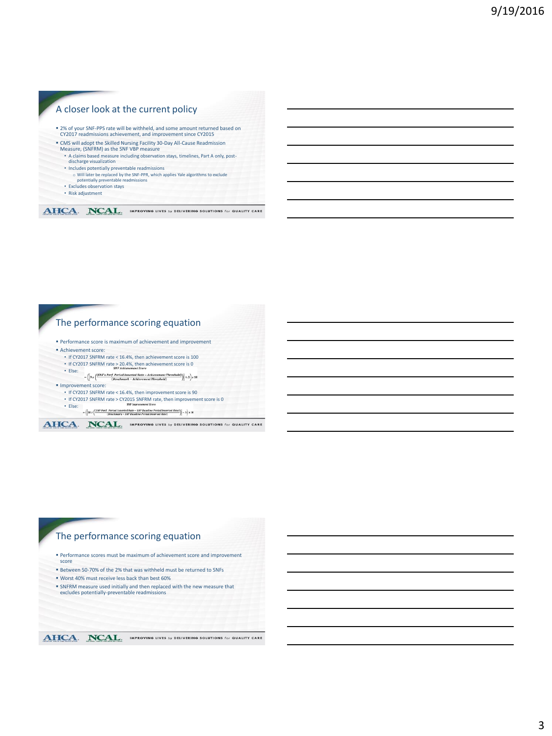#### A closer look at the current policy 2% of your SNF-PPS rate will be withheld, and some amount returned based on CY2017 readmissions achievement, and improvement since CY2015 CMS will adopt the Skilled Nursing Facility 30-Day All-Cause Readmission Measure, (SNFRM) as the SNF VBP measure • A claims based measure including observation stays, timelines, Part A only, post-discharge visualization • Includes potentially preventable readmissions o Will later be replaced by the SNF-PPR, which applies Yale algorithms to exclude potentially preventable readmissions • Excludes observation stays • Risk adjustment

AHCA. NCAL. IMPROVING LIVES By DELIVERING SOLUTIONS For QUALITY CARE

### The performance scoring equation

- Performance score is maximum of achievement and improvement
- Achievement score:
- If CY2017 SNFRM rate < 16.4%, then achievement score is 100
- If CY2017 SNFRM rate > 20.4%, then achievement score is 0
- Else:  $=\left(\boxed{9\,x\,\left(\frac{(SNF's\,Perf.\,Period\,Inverted\,Rate-Achievement\,Threshold)}{(Benchmark-Achievement\,Threshold)}\right)}+5\right)x\,10$

#### **Improvement score:**

- If CY2017 SNFRM rate < 16.4%, then improvement score is 90
- If CY2017 SNFRM rate > CY2015 SNFRM rate, then improvement score is 0 • Else:
- $-\left(\left|10\,x\left(\frac{(SNF\,Perf.\,Period\,Inverted\,Rate-SNF\,Baseline\,Period\,Inverted\,Rate)}{(Backmark-SNF\,Baseline\,Period\,Inverted\,Rate)}\right)\right|-5\right)\times10$

AHCA. NCAL. IMPROVING LIVES by DELIVERING SOLUTIONS for QUALITY CARE

# The performance scoring equation

- Performance scores must be maximum of achievement score and improvement score
- Between 50-70% of the 2% that was withheld must be returned to SNFs
- Worst 40% must receive less back than best 60%
- SNFRM measure used initially and then replaced with the new measure that excludes potentially-preventable readmissions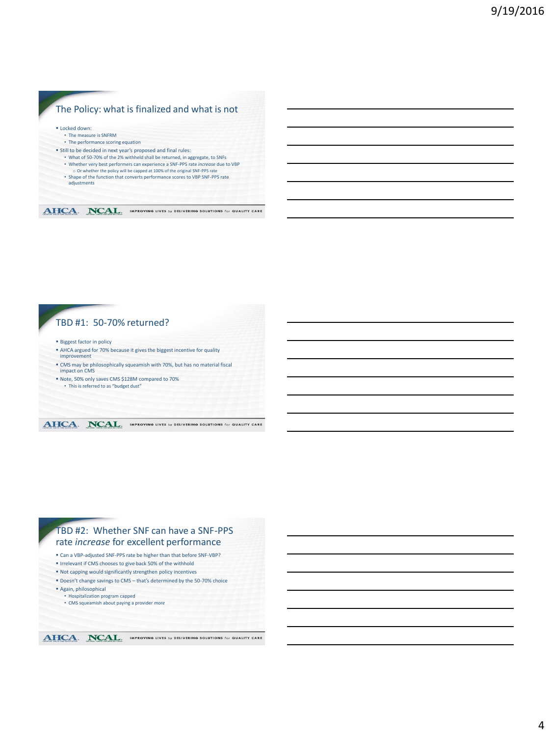### The Policy: what is finalized and what is not **ELocked down:** • The measure is SNFRM • The performance scoring equation Still to be decided in next year's proposed and final rules: • What of 50-70% of the 2% withheld shall be returned, in aggregate, to SNFs • Whether very best performers can experience a SNF-PPS rate *increase* due to VBP o Or whether the policy will be capped at 100% of the original SNF-PPS rate • Shape of the function that converts performance scores to VBP SNF-PPS rate adjustments AHCA. NCAL. IMPROVING LIVES by DELIVERING SOLUTIONS for QUALITY CARE

### TBD #1: 50-70% returned?

- **Biggest factor in policy**
- AHCA argued for 70% because it gives the biggest incentive for quality improvement
- CMS may be philosophically squeamish with 70%, but has no material fiscal impact on CMS
- Note, 50% only saves CMS \$128M compared to 70%
- This is referred to as "budget dust"

#### AHCA. NCAL. IMPROVING LIVES by DELIVERING SOLUTIONS for QUALITY CARE

### TBD #2: Whether SNF can have a SNF-PPS rate *increase* for excellent performance

- Can a VBP-adjusted SNF-PPS rate be higher than that before SNF-VBP?
- Irrelevant if CMS chooses to give back 50% of the withhold
- Not capping would significantly strengthen policy incentives
- Doesn't change savings to CMS that's determined by the 50-70% choice
- Again, philosophical
	- Hospitalization program capped • CMS squeamish about paying a provider *more*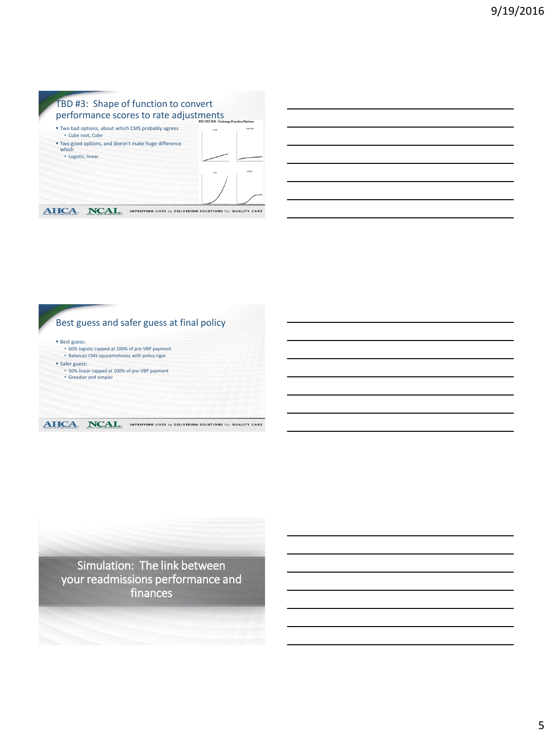



Simulation: The link between your readmissions performance and finances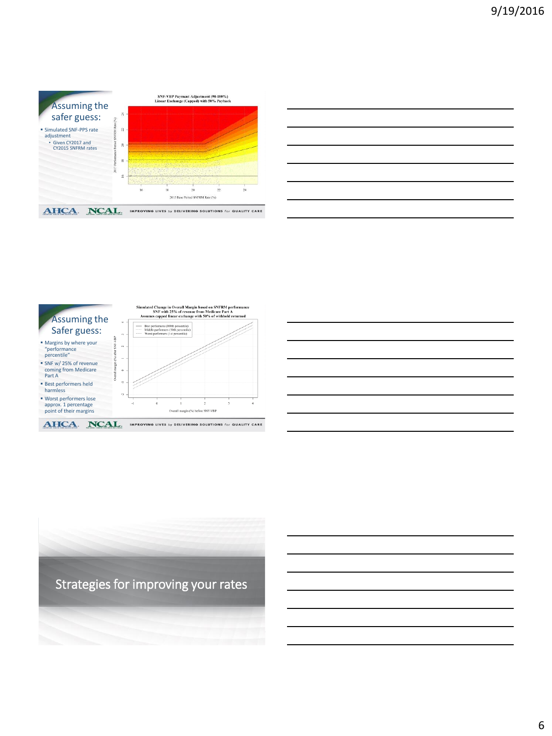





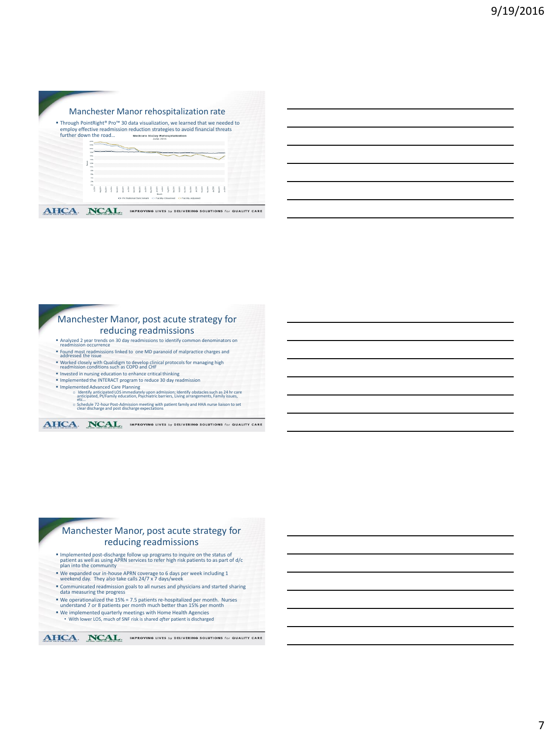|                                                                                                                                                                                         | Manchester Manor rehospitalization rate |  |  |  |  |  |                                                |  |  |  |  |  |  |  |
|-----------------------------------------------------------------------------------------------------------------------------------------------------------------------------------------|-----------------------------------------|--|--|--|--|--|------------------------------------------------|--|--|--|--|--|--|--|
| ■ Through PointRight® Pro™ 30 data visualization, we learned that we needed to<br>employ effective readmission reduction strategies to avoid financial threats<br>further down the road |                                         |  |  |  |  |  | Medicare 30-Day Rehospitalization<br>June 2016 |  |  |  |  |  |  |  |
|                                                                                                                                                                                         |                                         |  |  |  |  |  |                                                |  |  |  |  |  |  |  |
|                                                                                                                                                                                         |                                         |  |  |  |  |  |                                                |  |  |  |  |  |  |  |
|                                                                                                                                                                                         |                                         |  |  |  |  |  |                                                |  |  |  |  |  |  |  |
|                                                                                                                                                                                         |                                         |  |  |  |  |  |                                                |  |  |  |  |  |  |  |

|                        | Manchester Manor, post acute strategy for                                                                                   |  |
|------------------------|-----------------------------------------------------------------------------------------------------------------------------|--|
|                        | reducing readmissions                                                                                                       |  |
| readmission occurrence | Analyzed 2 year trends on 30 day readmissions to identify common denominators on                                            |  |
| addressed the issue    | " Found most readmissions linked to one MD paranoid of malpractice charges and                                              |  |
|                        | " Worked closely with Qualidigm to develop clinical protocols for managing high readmission conditions such as COPD and CHF |  |
|                        | " Invested in nursing education to enhance critical thinking                                                                |  |
|                        | " Implemented the INTERACT program to reduce 30 day readmission                                                             |  |

- 
- 
- 
- Implemented Advanced Care Planning<br>
complemented Advantiopated LOS immediately upon admission; identify obstacles such as 24 hr care<br>
anticipated, Pt/Family education, Psychiatric barriers, Living arrangements, Family issu

o Schedule 72-hour Post-Admission meeting with patient family and HHA nurse liaison to set clear discharge and post discharge expectations

AHCA. NCAL. IMPROVING LIVES by DELIVERING SOLUTIONS for QUALITY CARE

#### Manchester Manor, post acute strategy for reducing readmissions

- Implemented post-discharge follow up programs to inquire on the status of patient as well as using APRN services to refer high risk patients to as part of d/c plan into the community
- We expanded our in-house APRN coverage to 6 days per week including 1 weekend day. They also take calls 24/7 x 7 days/week
- Communicated readmission goals to all nurses and physicians and started sharing data measuring the progress
- We operationalized the 15% = 7.5 patients re-hospitalized per month. Nurses understand 7 or 8 patients per month much better than 15% per month
- We implemented quarterly meetings with Home Health Agencies With lower LOS, much of SNF risk is shared *after* patient is discharged
- 

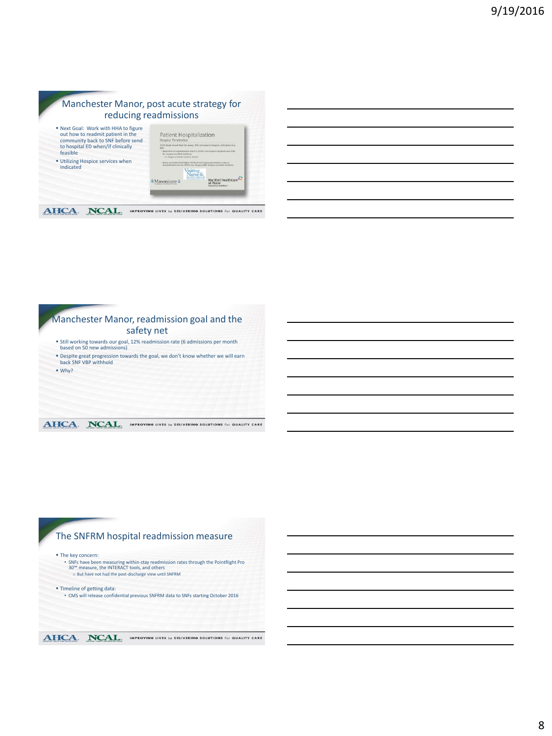#### Manchester Manor, post acute strategy for reducing readmissions Next Goal: Work with HHA to figure





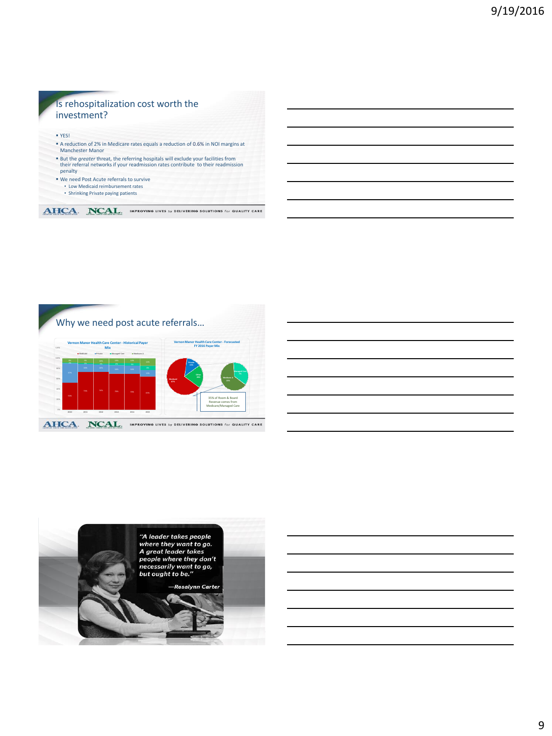